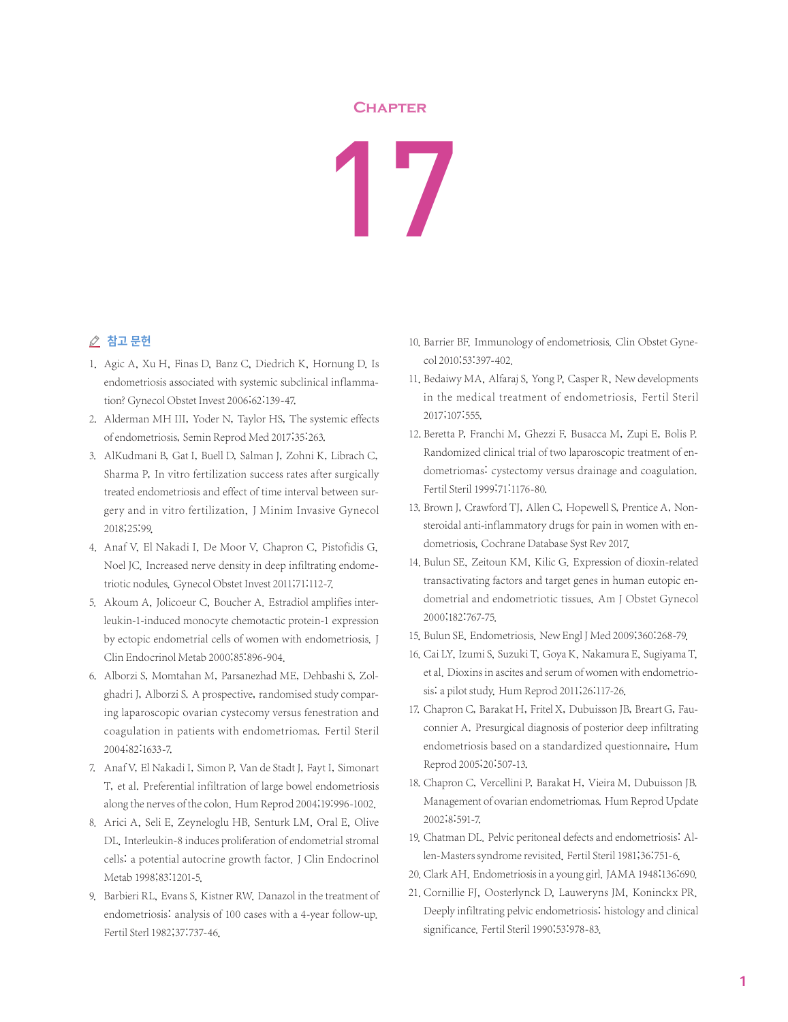## **Chapter**

## 17

## ⊘ 참고 문헌

- 1. Agic A, Xu H, Finas D, Banz C, Diedrich K, Hornung D. Is endometriosis associated with systemic subclinical inflammation? Gynecol Obstet Invest 2006;62:139-47.
- 2. Alderman MH III, Yoder N, Taylor HS, The systemic effects of endometriosis, Semin Reprod Med 2017;35:263.
- 3. AlKudmani B, Gat I, Buell D, Salman J, Zohni K, Librach C, Sharma P, In vitro fertilization success rates after surgically treated endometriosis and effect of time interval between surgery and in vitro fertilization, J Minim Invasive Gynecol 2018;25:99.
- 4. Anaf V, El Nakadi I, De Moor V, Chapron C, Pistofidis G, Noel JC. Increased nerve density in deep infiltrating endometriotic nodules. Gynecol Obstet Invest 2011;71:112-7.
- 5. Akoum A, Jolicoeur C, Boucher A. Estradiol amplifies interleukin-1-induced monocyte chemotactic protein-1 expression by ectopic endometrial cells of women with endometriosis. J Clin Endocrinol Metab 2000;85:896-904.
- 6. Alborzi S, Momtahan M, Parsanezhad ME, Dehbashi S, Zolghadri J, Alborzi S. A prospective, randomised study comparing laparoscopic ovarian cystecomy versus fenestration and coagulation in patients with endometriomas. Fertil Steril 2004;82:1633-7.
- 7. Anaf V, El Nakadi I, Simon P, Van de Stadt J, Fayt I, Simonart T, et al. Preferential infiltration of large bowel endometriosis along the nerves of the colon. Hum Reprod 2004;19:996-1002.
- 8. Arici A, Seli E, Zeyneloglu HB, Senturk LM, Oral E, Olive DL. Interleukin-8 induces proliferation of endometrial stromal cells: a potential autocrine growth factor. J Clin Endocrinol Metab 1998;83:1201-5.
- 9. Barbieri RL, Evans S, Kistner RW. Danazol in the treatment of endometriosis: analysis of 100 cases with a 4-year follow-up. Fertil Sterl 1982;37:737-46.
- 10. Barrier BF. Immunology of endometriosis. Clin Obstet Gynecol 2010;53:397-402.
- 11. Bedaiwy MA, Alfaraj S, Yong P, Casper R, New developments in the medical treatment of endometriosis, Fertil Steril 2017;107:555.
- 12. Beretta P, Franchi M, Ghezzi F, Busacca M, Zupi E, Bolis P. Randomized clinical trial of two laparoscopic treatment of endometriomas: cystectomy versus drainage and coagulation. Fertil Steril 1999;71:1176-80.
- 13. Brown J, Crawford TJ, Allen C, Hopewell S, Prentice A, Nonsteroidal anti-inflammatory drugs for pain in women with endometriosis, Cochrane Database Syst Rev 2017.
- 14. Bulun SE, Zeitoun KM, Kilic G. Expression of dioxin-related transactivating factors and target genes in human eutopic endometrial and endometriotic tissues. Am J Obstet Gynecol 2000;182:767-75.
- 15. Bulun SE. Endometriosis. New Engl J Med 2009;360:268-79.
- 16. Cai LY, Izumi S, Suzuki T, Goya K, Nakamura E, Sugiyama T, et al. Dioxins in ascites and serum of women with endometriosis: a pilot study. Hum Reprod 2011;26:117-26.
- 17. Chapron C, Barakat H, Fritel X, Dubuisson JB, Breart G, Fauconnier A. Presurgical diagnosis of posterior deep infiltrating endometriosis based on a standardized questionnaire, Hum Reprod 2005;20:507-13.
- 18. Chapron C, Vercellini P, Barakat H, Vieira M, Dubuisson JB. Management of ovarian endometriomas. Hum Reprod Update 2002;8:591-7.
- 19. Chatman DL. Pelvic peritoneal defects and endometriosis: Allen-Masters syndrome revisited. Fertil Steril 1981;36:751-6.
- 20. Clark AH. Endometriosis in a young girl. JAMA 1948;136:690.
- 21. Cornillie FJ, Oosterlynck D, Lauweryns JM, Koninckx PR. Deeply infiltrating pelvic endometriosis: histology and clinical significance. Fertil Steril 1990;53:978-83.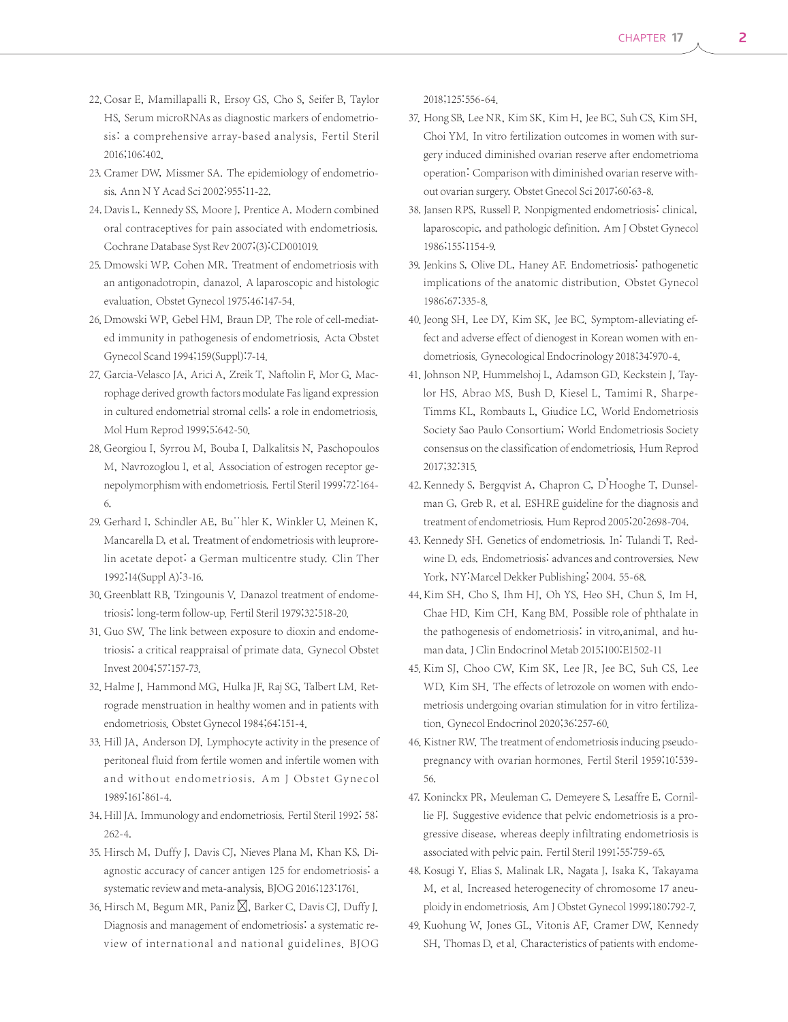- 22. Cosar E, Mamillapalli R, Ersoy GS, Cho S, Seifer B, Taylor HS, Serum microRNAs as diagnostic markers of endometriosis: a comprehensive array-based analysis, Fertil Steril 2016;106:402.
- 23. Cramer DW, Missmer SA. The epidemiology of endometriosis. Ann N Y Acad Sci 2002;955:11-22.
- 24. Davis L, Kennedy SS, Moore J, Prentice A. Modern combined oral contraceptives for pain associated with endometriosis. Cochrane Database Syst Rev 2007;(3):CD001019.
- 25. Dmowski WP, Cohen MR. Treatment of endometriosis with an antigonadotropin, danazol. A laparoscopic and histologic evaluation. Obstet Gynecol 1975;46:147-54.
- 26. Dmowski WP, Gebel HM, Braun DP. The role of cell-mediated immunity in pathogenesis of endometriosis. Acta Obstet Gynecol Scand 1994;159(Suppl):7-14.
- 27. Garcia-Velasco JA, Arici A, Zreik T, Naftolin F, Mor G. Macrophage derived growth factors modulate Fas ligand expression in cultured endometrial stromal cells: a role in endometriosis. Mol Hum Reprod 1999;5:642-50.
- 28. Georgiou I, Syrrou M, Bouba I, Dalkalitsis N, Paschopoulos M, Navrozoglou I, et al. Association of estrogen receptor genepolymorphism with endometriosis. Fertil Steril 1999;72:164- 6.
- 29. Gerhard I, Schindler AE, Bu¨hler K, Winkler U, Meinen K, Mancarella D, et al. Treatment of endometriosis with leuprorelin acetate depot: a German multicentre study. Clin Ther 1992;14(Suppl A):3-16.
- 30. Greenblatt RB, Tzingounis V. Danazol treatment of endometriosis:long-term follow-up. Fertil Steril 1979;32:518-20.
- 31. Guo SW. The link between exposure to dioxin and endometriosis: a critical reappraisal of primate data. Gynecol Obstet Invest 2004;57:157-73.
- 32. Halme J, Hammond MG, Hulka JF, Raj SG, Talbert LM. Retrograde menstruation in healthy women and in patients with endometriosis. Obstet Gynecol 1984;64:151-4.
- 33. Hill JA, Anderson DJ. Lymphocyte activity in the presence of peritoneal fluid from fertile women and infertile women with and without endometriosis. Am J Obstet Gynecol 1989;161:861-4.
- 34. Hill JA. Immunology and endometriosis. Fertil Steril 1992; 58: 262-4.
- 35. Hirsch M, Duffy J, Davis CJ, Nieves Plana M, Khan KS, Diagnostic accuracy of cancer antigen 125 for endometriosis: a systematic review and meta-analysis, BJOG 2016;123:1761.
- 36. Hirsch M, Begum MR, Paniz  $\boxtimes$ , Barker C, Davis CJ, Duffy J. Diagnosis and management of endometriosis: a systematic review of international and national guidelines. BJOG

2018;125:556-64.

- 37. Hong SB, Lee NR, Kim SK, Kim H, Jee BC, Suh CS, Kim SH, Choi YM. In vitro fertilization outcomes in women with surgery induced diminished ovarian reserve after endometrioma operation: Comparison with diminished ovarian reserve without ovarian surgery. Obstet Gnecol Sci 2017;60:63-8.
- 38. Jansen RPS, Russell P. Nonpigmented endometriosis: clinical, laparoscopic, and pathologic definition. Am J Obstet Gynecol 1986;155:1154-9.
- 39. Jenkins S, Olive DL, Haney AF. Endometriosis: pathogenetic implications of the anatomic distribution. Obstet Gynecol 1986;67:335-8.
- 40. Jeong SH, Lee DY, Kim SK, Jee BC. Symptom-alleviating effect and adverse effect of dienogest in Korean women with endometriosis. Gynecological Endocrinology 2018;34:970-4.
- 41. Johnson NP, Hummelshoj L, Adamson GD, Keckstein J, Taylor HS, Abrao MS, Bush D, Kiesel L, Tamimi R, Sharpe-Timms KL, Rombauts L, Giudice LC, World Endometriosis Society Sao Paulo Consortium; World Endometriosis Society consensus on the classification of endometriosis, Hum Reprod 2017;32:315.
- 42. Kennedy S, Bergqvist A, Chapron C, D'Hooghe T, Dunselman G, Greb R, et al. ESHRE guideline for the diagnosis and treatment of endometriosis. Hum Reprod 2005;20:2698-704.
- 43. Kennedy SH. Genetics of endometriosis. In: Tulandi T, Redwine D, eds. Endometriosis: advances and controversies. New York, NY:Marcel Dekker Publishing; 2004. 55-68.
- 44. Kim SH, Cho S, Ihm HJ, Oh YS, Heo SH, Chun S, Im H, Chae HD, Kim CH, Kang BM. Possible role of phthalate in the pathogenesis of endometriosis: in vitro,animal, and human data.J Clin Endocrinol Metab 2015;100:E1502-11
- 45. Kim SJ, Choo CW, Kim SK, Lee JR, Jee BC, Suh CS, Lee WD, Kim SH. The effects of letrozole on women with endometriosis undergoing ovarian stimulation for in vitro fertilization. Gynecol Endocrinol 2020;36:257-60.
- 46. Kistner RW. The treatment of endometriosis inducing pseudopregnancy with ovarian hormones. Fertil Steril 1959;10:539- 56.
- 47. Koninckx PR, Meuleman C, Demeyere S, Lesaffre E, Cornillie FJ. Suggestive evidence that pelvic endometriosis is a progressive disease, whereas deeply infiltrating endometriosis is associated with pelvic pain. Fertil Steril 1991;55:759-65.
- 48. Kosugi Y, Elias S, Malinak LR, Nagata J, Isaka K, Takayama M, et al. Increased heterogenecity of chromosome 17 aneuploidy in endometriosis. Am J Obstet Gynecol 1999;180:792-7.
- 49. Kuohung W, Jones GL, Vitonis AF, Cramer DW, Kennedy SH, Thomas D, et al. Characteristics of patients with endome-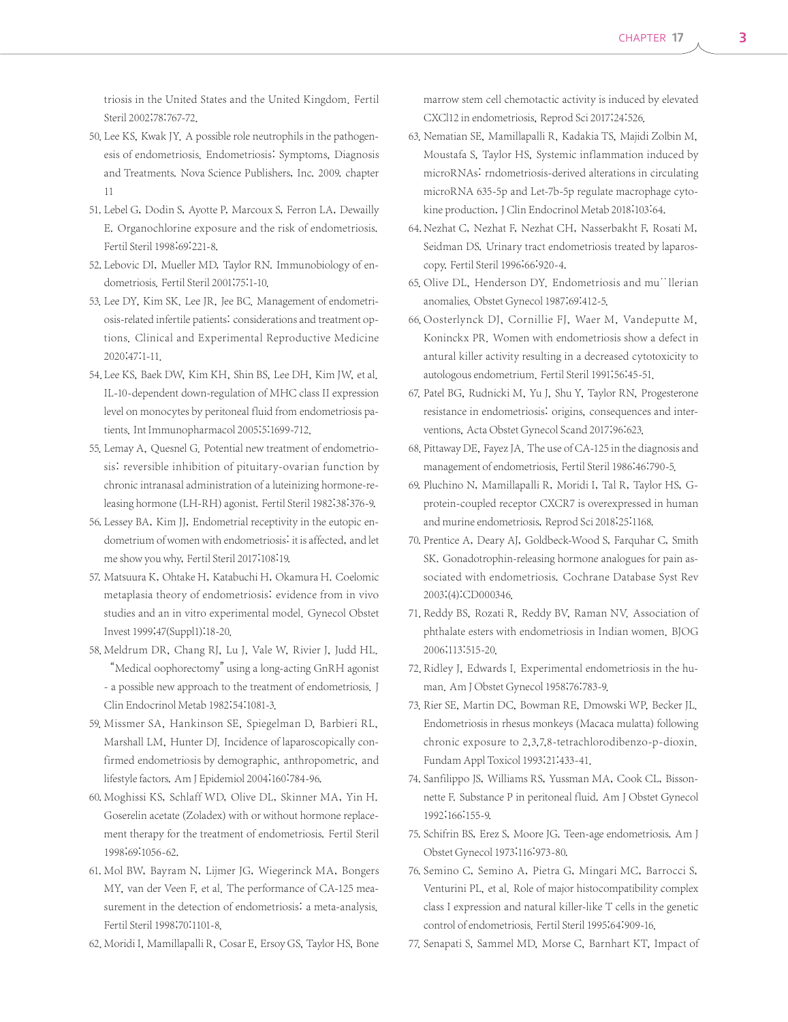triosis in the United States and the United Kingdom. Fertil Steril 2002;78:767-72.

- 50. Lee KS, Kwak JY. A possible role neutrophils in the pathogenesis of endometriosis. Endometriosis: Symptoms, Diagnosis and Treatments. Nova Science Publishers, Inc. 2009. chapter 11
- 51. Lebel G, Dodin S, Ayotte P, Marcoux S, Ferron LA, Dewailly E. Organochlorine exposure and the risk of endometriosis. Fertil Steril 1998;69:221-8.
- 52. Lebovic DI, Mueller MD, Taylor RN. Immunobiology of endometriosis. Fertil Steril 2001;75:1-10.
- 53. Lee DY, Kim SK. Lee JR, Jee BC. Management of endometriosis-related infertile patients: considerations and treatment options. Clinical and Experimental Reproductive Medicine 2020;47:1-11.
- 54. Lee KS, Baek DW, Kim KH, Shin BS, Lee DH, Kim JW, et al. IL-10-dependent down-regulation of MHC class II expression level on monocytes by peritoneal fluid from endometriosis patients.Int Immunopharmacol 2005;5:1699-712.
- 55. Lemay A, Quesnel G. Potential new treatment of endometriosis: reversible inhibition of pituitary-ovarian function by chronic intranasal administration of a luteinizing hormone-releasing hormone (LH-RH) agonist. Fertil Steril 1982;38:376-9.
- 56. Lessey BA, Kim JJ, Endometrial receptivity in the eutopic endometrium of women with endometriosis: it is affected, and let me show you why, Fertil Steril 2017;108:19.
- 57. Matsuura K, Ohtake H, Katabuchi H, Okamura H. Coelomic metaplasia theory of endometriosis: evidence from in vivo studies and an in vitro experimental model. Gynecol Obstet Invest 1999;47(Suppl1):18-20.
- 58. Meldrum DR, Chang RJ, Lu J, Vale W, Rivier J, Judd HL. "Medical oophorectomy"using a long-acting GnRH agonist - a possible new approach to the treatment of endometriosis. J Clin Endocrinol Metab 1982;54:1081-3.
- 59. Missmer SA, Hankinson SE, Spiegelman D, Barbieri RL, Marshall LM, Hunter DJ. Incidence of laparoscopically confirmed endometriosis by demographic, anthropometric, and lifestyle factors. Am J Epidemiol 2004;160:784-96.
- 60. Moghissi KS, Schlaff WD, Olive DL, Skinner MA, Yin H. Goserelin acetate (Zoladex) with or without hormone replacement therapy for the treatment of endometriosis. Fertil Steril 1998;69:1056-62.
- 61. Mol BW, Bayram N, Lijmer JG, Wiegerinck MA, Bongers MY, van der Veen F, et al. The performance of CA-125 measurement in the detection of endometriosis: a meta-analysis. Fertil Steril 1998;70:1101-8.
- 62. Moridi I, Mamillapalli R, Cosar E, Ersoy GS, Taylor HS, Bone

marrow stem cell chemotactic activity is induced by elevated CXCl12 in endometriosis, Reprod Sci 2017;24:526.

- 63. Nematian SE, Mamillapalli R, Kadakia TS, Majidi Zolbin M, Moustafa S, Taylor HS, Systemic inflammation induced by microRNAs: rndometriosis-derived alterations in circulating microRNA 635-5p and Let-7b-5p regulate macrophage cytokine production, J Clin Endocrinol Metab 2018;103:64.
- 64. Nezhat C, Nezhat F, Nezhat CH, Nasserbakht F, Rosati M, Seidman DS. Urinary tract endometriosis treated by laparoscopy. Fertil Steril 1996;66:920-4.
- 65. Olive DL, Henderson DY. Endometriosis and mu¨llerian anomalies. Obstet Gynecol 1987;69:412-5.
- 66. Oosterlynck DJ, Cornillie FJ, Waer M, Vandeputte M, Koninckx PR. Women with endometriosis show a defect in antural killer activity resulting in a decreased cytotoxicity to autologous endometrium. Fertil Steril 1991;56:45-51.
- 67. Patel BG, Rudnicki M, Yu J, Shu Y, Taylor RN, Progesterone resistance in endometriosis: origins, consequences and interventions, Acta Obstet Gynecol Scand 2017;96:623.
- 68. Pittaway DE, Fayez JA. The use of CA-125 in the diagnosis and management of endometriosis, Fertil Steril 1986:46:790-5.
- 69. Pluchino N, Mamillapalli R, Moridi I, Tal R, Taylor HS, Gprotein-coupled receptor CXCR7 is overexpressed in human and murine endometriosis, Reprod Sci 2018;25:1168.
- 70. Prentice A, Deary AJ, Goldbeck-Wood S, Farquhar C, Smith SK. Gonadotrophin-releasing hormone analogues for pain associated with endometriosis. Cochrane Database Syst Rev 2003;(4):CD000346.
- 71. Reddy BS, Rozati R, Reddy BV, Raman NV. Association of phthalate esters with endometriosis in Indian women. BJOG 2006;113:515-20.
- 72. Ridley J, Edwards I. Experimental endometriosis in the human. Am J Obstet Gynecol 1958;76:783-9.
- 73. Rier SE, Martin DC, Bowman RE, Dmowski WP, Becker JL. Endometriosis in rhesus monkeys (Macaca mulatta) following chronic exposure to 2,3,7,8-tetrachlorodibenzo-p-dioxin. Fundam Appl Toxicol 1993;21:433-41.
- 74. Sanfilippo JS, Williams RS, Yussman MA, Cook CL, Bissonnette F. Substance P in peritoneal fluid. Am J Obstet Gynecol 1992;166:155-9.
- 75. Schifrin BS, Erez S, Moore JG. Teen-age endometriosis. Am J Obstet Gynecol 1973;116:973-80.
- 76. Semino C, Semino A, Pietra G, Mingari MC, Barrocci S, Venturini PL, et al. Role of major histocompatibility complex class I expression and natural killer-like T cells in the genetic control of endometriosis. Fertil Steril 1995;64:909-16.
- 77. Senapati S, Sammel MD, Morse C, Barnhart KT, Impact of